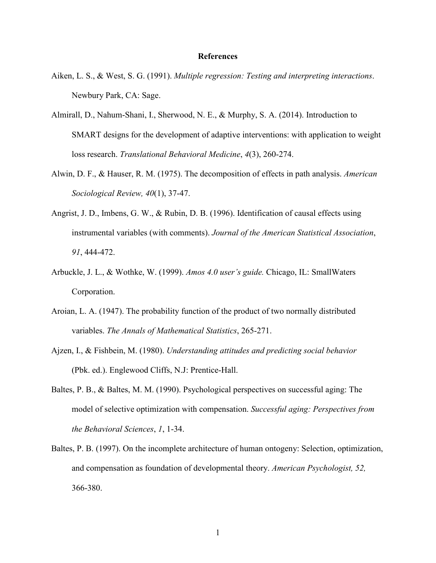## **References**

- Aiken, L. S., & West, S. G. (1991). *Multiple regression: Testing and interpreting interactions*. Newbury Park, CA: Sage.
- Almirall, D., Nahum-Shani, I., Sherwood, N. E., & Murphy, S. A. (2014). Introduction to SMART designs for the development of adaptive interventions: with application to weight loss research. *Translational Behavioral Medicine*, *4*(3), 260-274.
- Alwin, D. F., & Hauser, R. M. (1975). The decomposition of effects in path analysis. *American Sociological Review, 40*(1), 37-47.
- Angrist, J. D., Imbens, G. W., & Rubin, D. B. (1996). Identification of causal effects using instrumental variables (with comments). *Journal of the American Statistical Association*, *91*, 444-472.
- Arbuckle, J. L., & Wothke, W. (1999). *Amos 4.0 user's guide.* Chicago, IL: SmallWaters Corporation.
- Aroian, L. A. (1947). The probability function of the product of two normally distributed variables. *The Annals of Mathematical Statistics*, 265-271.
- Ajzen, I., & Fishbein, M. (1980). *Understanding attitudes and predicting social behavior* (Pbk. ed.). Englewood Cliffs, N.J: Prentice-Hall.
- Baltes, P. B., & Baltes, M. M. (1990). Psychological perspectives on successful aging: The model of selective optimization with compensation. *Successful aging: Perspectives from the Behavioral Sciences*, *1*, 1-34.
- Baltes, P. B. (1997). On the incomplete architecture of human ontogeny: Selection, optimization, and compensation as foundation of developmental theory. *American Psychologist, 52,* 366-380.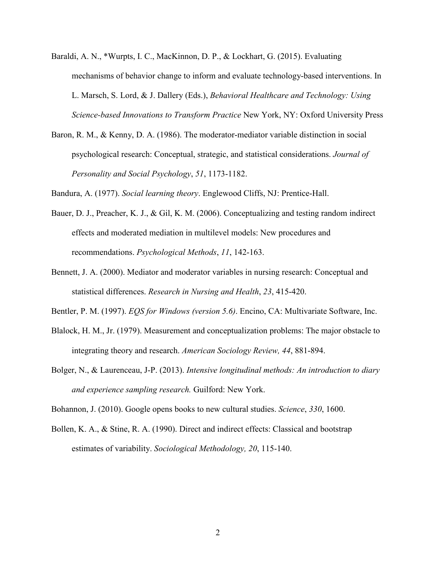- Baraldi, A. N., \*Wurpts, I. C., MacKinnon, D. P., & Lockhart, G. (2015). Evaluating mechanisms of behavior change to inform and evaluate technology-based interventions. In L. Marsch, S. Lord, & J. Dallery (Eds.), *Behavioral Healthcare and Technology: Using Science-based Innovations to Transform Practice* New York, NY: Oxford University Press
- Baron, R. M., & Kenny, D. A. (1986). The moderator-mediator variable distinction in social psychological research: Conceptual, strategic, and statistical considerations. *Journal of Personality and Social Psychology*, *51*, 1173-1182.

Bandura, A. (1977). *Social learning theory*. Englewood Cliffs, NJ: Prentice-Hall.

- Bauer, D. J., Preacher, K. J., & Gil, K. M. (2006). Conceptualizing and testing random indirect effects and moderated mediation in multilevel models: New procedures and recommendations. *Psychological Methods*, *11*, 142-163.
- Bennett, J. A. (2000). Mediator and moderator variables in nursing research: Conceptual and statistical differences. *Research in Nursing and Health*, *23*, 415-420.

Bentler, P. M. (1997). *EQS for Windows (version 5.6)*. Encino, CA: Multivariate Software, Inc.

- Blalock, H. M., Jr. (1979). Measurement and conceptualization problems: The major obstacle to integrating theory and research. *American Sociology Review, 44*, 881-894.
- Bolger, N., & Laurenceau, J-P. (2013). *Intensive longitudinal methods: An introduction to diary and experience sampling research.* Guilford: New York.

Bohannon, J. (2010). Google opens books to new cultural studies. *Science*, *330*, 1600.

Bollen, K. A., & Stine, R. A. (1990). Direct and indirect effects: Classical and bootstrap estimates of variability. *Sociological Methodology, 20*, 115-140.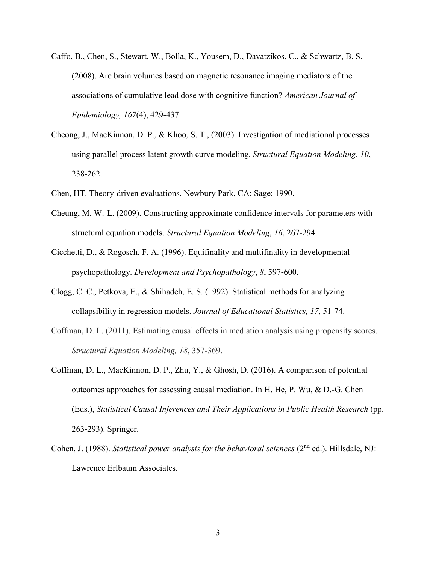- Caffo, B., Chen, S., Stewart, W., Bolla, K., Yousem, D., Davatzikos, C., & Schwartz, B. S. (2008). Are brain volumes based on magnetic resonance imaging mediators of the associations of cumulative lead dose with cognitive function? *American Journal of Epidemiology, 167*(4), 429-437.
- Cheong, J., MacKinnon, D. P., & Khoo, S. T., (2003). Investigation of mediational processes using parallel process latent growth curve modeling. *Structural Equation Modeling*, *10*, 238-262.
- Chen, HT. Theory-driven evaluations. Newbury Park, CA: Sage; 1990.
- Cheung, M. W.-L. (2009). Constructing approximate confidence intervals for parameters with structural equation models. *Structural Equation Modeling*, *16*, 267-294.
- Cicchetti, D., & Rogosch, F. A. (1996). Equifinality and multifinality in developmental psychopathology. *Development and Psychopathology*, *8*, 597-600.
- Clogg, C. C., Petkova, E., & Shihadeh, E. S. (1992). Statistical methods for analyzing collapsibility in regression models. *Journal of Educational Statistics, 17*, 51-74.
- Coffman, D. L. (2011). Estimating causal effects in mediation analysis using propensity scores. *Structural Equation Modeling, 18*, 357-369.
- Coffman, D. L., MacKinnon, D. P., Zhu, Y., & Ghosh, D. (2016). A comparison of potential outcomes approaches for assessing causal mediation. In H. He, P. Wu, & D.-G. Chen (Eds.), *Statistical Causal Inferences and Their Applications in Public Health Research* (pp. 263-293). Springer.
- Cohen, J. (1988). *Statistical power analysis for the behavioral sciences* (2nd ed.). Hillsdale, NJ: Lawrence Erlbaum Associates.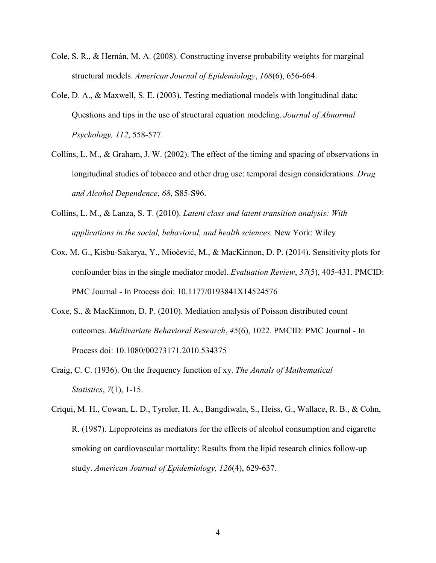- Cole, S. R., & Hernán, M. A. (2008). Constructing inverse probability weights for marginal structural models. *American Journal of Epidemiology*, *168*(6), 656-664.
- Cole, D. A., & Maxwell, S. E. (2003). Testing mediational models with longitudinal data: Questions and tips in the use of structural equation modeling. *Journal of Abnormal Psychology, 112*, 558-577.
- Collins, L. M., & Graham, J. W. (2002). The effect of the timing and spacing of observations in longitudinal studies of tobacco and other drug use: temporal design considerations. *Drug and Alcohol Dependence*, *68*, S85-S96.
- Collins, L. M., & Lanza, S. T. (2010). *Latent class and latent transition analysis: With applications in the social, behavioral, and health sciences.* New York: Wiley
- Cox, M. G., Kisbu-Sakarya, Y., Miočević, M., & MacKinnon, D. P. (2014). Sensitivity plots for confounder bias in the single mediator model. *Evaluation Review*, *37*(5), 405-431. PMCID: PMC Journal - In Process doi: 10.1177/0193841X14524576
- Coxe, S., & MacKinnon, D. P. (2010). Mediation analysis of Poisson distributed count outcomes. *Multivariate Behavioral Research*, *45*(6), 1022. PMCID: PMC Journal - In Process doi: 10.1080/00273171.2010.534375
- Craig, C. C. (1936). On the frequency function of xy. *The Annals of Mathematical Statistics*, *7*(1), 1-15.
- Criqui, M. H., Cowan, L. D., Tyroler, H. A., Bangdiwala, S., Heiss, G., Wallace, R. B., & Cohn, R. (1987). Lipoproteins as mediators for the effects of alcohol consumption and cigarette smoking on cardiovascular mortality: Results from the lipid research clinics follow-up study. *American Journal of Epidemiology, 126*(4), 629-637.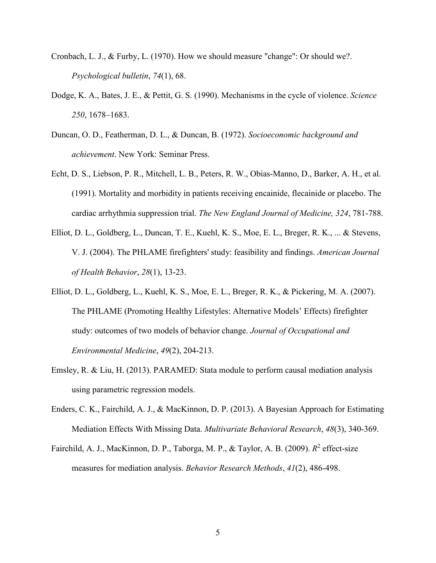- Cronbach, L. J., & Furby, L. (1970). How we should measure "change": Or should we?. *Psychological bulletin*, *74*(1), 68.
- Dodge, K. A., Bates, J. E., & Pettit, G. S. (1990). Mechanisms in the cycle of violence. *Science 250*, 1678–1683.
- Duncan, O. D., Featherman, D. L., & Duncan, B. (1972). *Socioeconomic background and achievement*. New York: Seminar Press.
- Echt, D. S., Liebson, P. R., Mitchell, L. B., Peters, R. W., Obias-Manno, D., Barker, A. H., et al. (1991). Mortality and morbidity in patients receiving encainide, flecainide or placebo. The cardiac arrhythmia suppression trial. *The New England Journal of Medicine, 324*, 781-788.
- Elliot, D. L., Goldberg, L., Duncan, T. E., Kuehl, K. S., Moe, E. L., Breger, R. K., ... & Stevens, V. J. (2004). The PHLAME firefighters' study: feasibility and findings. *American Journal of Health Behavior*, *28*(1), 13-23.
- Elliot, D. L., Goldberg, L., Kuehl, K. S., Moe, E. L., Breger, R. K., & Pickering, M. A. (2007). The PHLAME (Promoting Healthy Lifestyles: Alternative Models' Effects) firefighter study: outcomes of two models of behavior change. *Journal of Occupational and Environmental Medicine*, *49*(2), 204-213.
- Emsley, R. & Liu, H. (2013). PARAMED: Stata module to perform causal mediation analysis using parametric regression models.
- Enders, C. K., Fairchild, A. J., & MacKinnon, D. P. (2013). A Bayesian Approach for Estimating Mediation Effects With Missing Data. *Multivariate Behavioral Research*, *48*(3), 340-369.
- Fairchild, A. J., MacKinnon, D. P., Taborga, M. P., & Taylor, A. B. (2009). *R*<sup>2</sup> effect-size measures for mediation analysis. *Behavior Research Methods*, *41*(2), 486-498.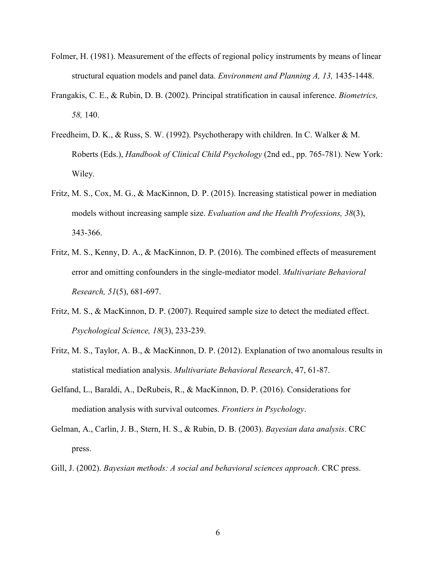- Folmer, H. (1981). Measurement of the effects of regional policy instruments by means of linear structural equation models and panel data. *Environment and Planning A, 13,* 1435-1448.
- Frangakis, C. E., & Rubin, D. B. (2002). Principal stratification in causal inference. *Biometrics, 58,* 140.
- Freedheim, D. K., & Russ, S. W. (1992). Psychotherapy with children. In C. Walker & M. Roberts (Eds.), *Handbook of Clinical Child Psychology* (2nd ed., pp. 765-781). New York: Wiley.
- Fritz, M. S., Cox, M. G., & MacKinnon, D. P. (2015). Increasing statistical power in mediation models without increasing sample size. *Evaluation and the Health Professions, 38*(3), 343-366.
- Fritz, M. S., Kenny, D. A., & MacKinnon, D. P. (2016). The combined effects of measurement error and omitting confounders in the single-mediator model. *Multivariate Behavioral Research, 51*(5), 681-697.
- Fritz, M. S., & MacKinnon, D. P. (2007). Required sample size to detect the mediated effect. *Psychological Science, 18*(3), 233-239.
- Fritz, M. S., Taylor, A. B., & MacKinnon, D. P. (2012). Explanation of two anomalous results in statistical mediation analysis. *Multivariate Behavioral Research*, 47, 61-87.
- Gelfand, L., Baraldi, A., DeRubeis, R., & MacKinnon, D. P. (2016). Considerations for mediation analysis with survival outcomes. *Frontiers in Psychology*.
- Gelman, A., Carlin, J. B., Stern, H. S., & Rubin, D. B. (2003). *Bayesian data analysis*. CRC press.
- Gill, J. (2002). *Bayesian methods: A social and behavioral sciences approach*. CRC press.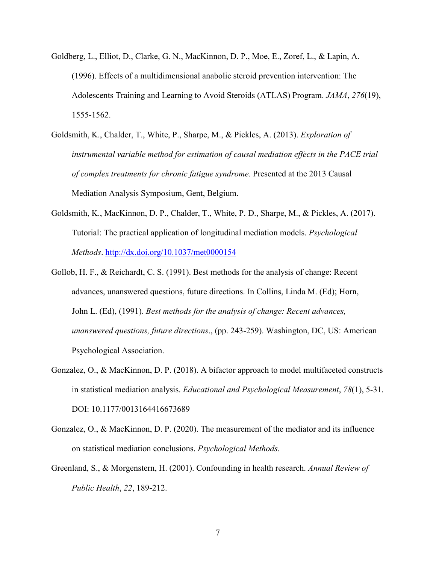- Goldberg, L., Elliot, D., Clarke, G. N., MacKinnon, D. P., Moe, E., Zoref, L., & Lapin, A. (1996). Effects of a multidimensional anabolic steroid prevention intervention: The Adolescents Training and Learning to Avoid Steroids (ATLAS) Program. *JAMA*, *276*(19), 1555-1562.
- Goldsmith, K., Chalder, T., White, P., Sharpe, M., & Pickles, A. (2013). *Exploration of instrumental variable method for estimation of causal mediation effects in the PACE trial of complex treatments for chronic fatigue syndrome.* Presented at the 2013 Causal Mediation Analysis Symposium, Gent, Belgium.
- Goldsmith, K., MacKinnon, D. P., Chalder, T., White, P. D., Sharpe, M., & Pickles, A. (2017). Tutorial: The practical application of longitudinal mediation models. *Psychological Methods*. <http://dx.doi.org/10.1037/met0000154>
- Gollob, H. F., & Reichardt, C. S. (1991). Best methods for the analysis of change: Recent advances, unanswered questions, future directions. In Collins, Linda M. (Ed); Horn, John L. (Ed), (1991). *Best methods for the analysis of change: Recent advances, unanswered questions, future directions*., (pp. 243-259). Washington, DC, US: American Psychological Association.
- Gonzalez, O., & MacKinnon, D. P. (2018). A bifactor approach to model multifaceted constructs in statistical mediation analysis. *Educational and Psychological Measurement*, *78*(1), 5-31. DOI: 10.1177/0013164416673689
- Gonzalez, O., & MacKinnon, D. P. (2020). The measurement of the mediator and its influence on statistical mediation conclusions. *Psychological Methods*.
- Greenland, S., & Morgenstern, H. (2001). Confounding in health research. *Annual Review of Public Health*, *22*, 189-212.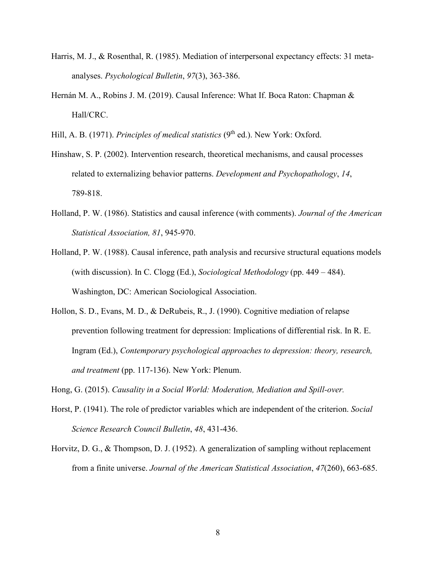- Harris, M. J., & Rosenthal, R. (1985). Mediation of interpersonal expectancy effects: 31 metaanalyses. *Psychological Bulletin*, *97*(3), 363-386.
- Hernán M. A., Robins J. M. (2019). Causal Inference: What If. Boca Raton: Chapman & Hall/CRC.
- Hill, A. B. (1971). *Principles of medical statistics* (9<sup>th</sup> ed.). New York: Oxford.
- Hinshaw, S. P. (2002). Intervention research, theoretical mechanisms, and causal processes related to externalizing behavior patterns. *Development and Psychopathology*, *14*, 789-818.
- Holland, P. W. (1986). Statistics and causal inference (with comments). *Journal of the American Statistical Association, 81*, 945-970.
- Holland, P. W. (1988). Causal inference, path analysis and recursive structural equations models (with discussion). In C. Clogg (Ed.), *Sociological Methodology* (pp. 449 – 484). Washington, DC: American Sociological Association.
- Hollon, S. D., Evans, M. D., & DeRubeis, R., J. (1990). Cognitive mediation of relapse prevention following treatment for depression: Implications of differential risk. In R. E. Ingram (Ed.), *Contemporary psychological approaches to depression: theory, research, and treatment* (pp. 117-136). New York: Plenum.
- Hong, G. (2015). *Causality in a Social World: Moderation, Mediation and Spill-over.*
- Horst, P. (1941). The role of predictor variables which are independent of the criterion. *Social Science Research Council Bulletin*, *48*, 431-436.
- Horvitz, D. G., & Thompson, D. J. (1952). A generalization of sampling without replacement from a finite universe. *Journal of the American Statistical Association*, *47*(260), 663-685.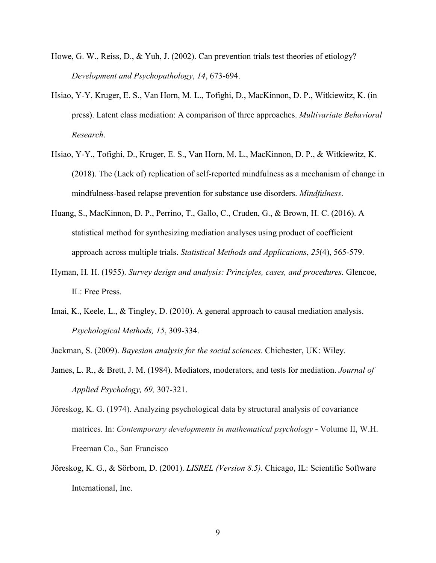- Howe, G. W., Reiss, D., & Yuh, J. (2002). Can prevention trials test theories of etiology? *Development and Psychopathology*, *14*, 673-694.
- Hsiao, Y-Y, Kruger, E. S., Van Horn, M. L., Tofighi, D., MacKinnon, D. P., Witkiewitz, K. (in press). Latent class mediation: A comparison of three approaches. *Multivariate Behavioral Research*.
- Hsiao, Y-Y., Tofighi, D., Kruger, E. S., Van Horn, M. L., MacKinnon, D. P., & Witkiewitz, K. (2018). The (Lack of) replication of self-reported mindfulness as a mechanism of change in mindfulness-based relapse prevention for substance use disorders. *Mindfulness*.
- Huang, S., MacKinnon, D. P., Perrino, T., Gallo, C., Cruden, G., & Brown, H. C. (2016). A statistical method for synthesizing mediation analyses using product of coefficient approach across multiple trials. *Statistical Methods and Applications*, *25*(4), 565-579.
- Hyman, H. H. (1955). *Survey design and analysis: Principles, cases, and procedures.* Glencoe, IL: Free Press.
- Imai, K., Keele, L., & Tingley, D. (2010). A general approach to causal mediation analysis. *Psychological Methods, 15*, 309-334.

Jackman, S. (2009). *Bayesian analysis for the social sciences*. Chichester, UK: Wiley.

- James, L. R., & Brett, J. M. (1984). Mediators, moderators, and tests for mediation. *Journal of Applied Psychology, 69,* 307-321.
- Jöreskog, K. G. (1974). Analyzing psychological data by structural analysis of covariance matrices. In: *Contemporary developments in mathematical psychology* - Volume II, W.H. Freeman Co., San Francisco
- Jöreskog, K. G., & Sörbom, D. (2001). *LISREL (Version 8.5)*. Chicago, IL: Scientific Software International, Inc.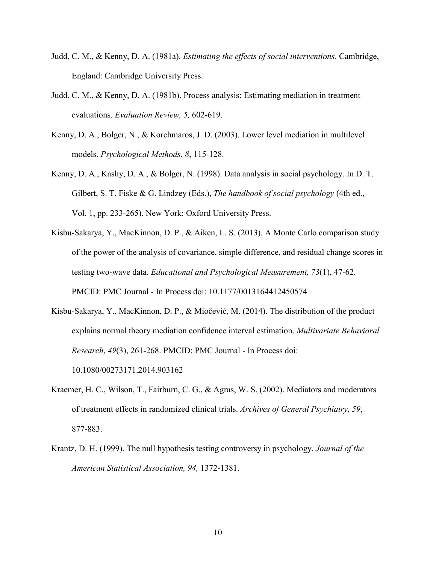- Judd, C. M., & Kenny, D. A. (1981a). *Estimating the effects of social interventions*. Cambridge, England: Cambridge University Press.
- Judd, C. M., & Kenny, D. A. (1981b). Process analysis: Estimating mediation in treatment evaluations. *Evaluation Review, 5,* 602-619.
- Kenny, D. A., Bolger, N., & Korchmaros, J. D. (2003). Lower level mediation in multilevel models. *Psychological Methods*, *8*, 115-128.
- Kenny, D. A., Kashy, D. A., & Bolger, N. (1998). Data analysis in social psychology. In D. T. Gilbert, S. T. Fiske & G. Lindzey (Eds.), *The handbook of social psychology* (4th ed., Vol. 1, pp. 233-265). New York: Oxford University Press.
- Kisbu-Sakarya, Y., MacKinnon, D. P., & Aiken, L. S. (2013). A Monte Carlo comparison study of the power of the analysis of covariance, simple difference, and residual change scores in testing two-wave data. *Educational and Psychological Measurement, 73*(1), 47-62. PMCID: PMC Journal - In Process doi: 10.1177/0013164412450574
- Kisbu-Sakarya, Y., MacKinnon, D. P., & Miočević, M. (2014). The distribution of the product explains normal theory mediation confidence interval estimation. *Multivariate Behavioral Research*, *49*(3), 261-268. PMCID: PMC Journal - In Process doi: 10.1080/00273171.2014.903162
- Kraemer, H. C., Wilson, T., Fairburn, C. G., & Agras, W. S. (2002). Mediators and moderators of treatment effects in randomized clinical trials. *Archives of General Psychiatry*, *59*, 877-883.
- Krantz, D. H. (1999). The null hypothesis testing controversy in psychology. *Journal of the American Statistical Association, 94,* 1372-1381.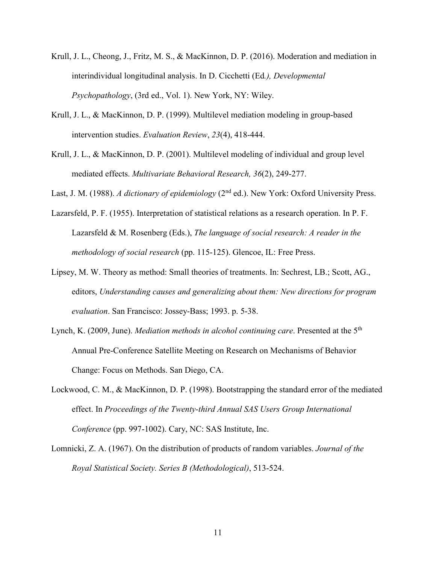- Krull, J. L., Cheong, J., Fritz, M. S., & MacKinnon, D. P. (2016). Moderation and mediation in interindividual longitudinal analysis. In D. Cicchetti (Ed*.), Developmental Psychopathology*, (3rd ed., Vol. 1). New York, NY: Wiley.
- Krull, J. L., & MacKinnon, D. P. (1999). Multilevel mediation modeling in group-based intervention studies. *Evaluation Review*, *23*(4), 418-444.
- Krull, J. L., & MacKinnon, D. P. (2001). Multilevel modeling of individual and group level mediated effects. *Multivariate Behavioral Research, 36*(2), 249-277.

Last, J. M. (1988). *A dictionary of epidemiology* (2<sup>nd</sup> ed.). New York: Oxford University Press.

- Lazarsfeld, P. F. (1955). Interpretation of statistical relations as a research operation. In P. F. Lazarsfeld & M. Rosenberg (Eds.), *The language of social research: A reader in the methodology of social research* (pp. 115-125). Glencoe, IL: Free Press.
- Lipsey, M. W. Theory as method: Small theories of treatments. In: Sechrest, LB.; Scott, AG., editors, *Understanding causes and generalizing about them: New directions for program evaluation*. San Francisco: Jossey-Bass; 1993. p. 5-38.
- Lynch, K. (2009, June). *Mediation methods in alcohol continuing care*. Presented at the 5<sup>th</sup> Annual Pre-Conference Satellite Meeting on Research on Mechanisms of Behavior Change: Focus on Methods. San Diego, CA.
- Lockwood, C. M., & MacKinnon, D. P. (1998). Bootstrapping the standard error of the mediated effect. In *Proceedings of the Twenty-third Annual SAS Users Group International Conference* (pp. 997-1002). Cary, NC: SAS Institute, Inc.
- Lomnicki, Z. A. (1967). On the distribution of products of random variables. *Journal of the Royal Statistical Society. Series B (Methodological)*, 513-524.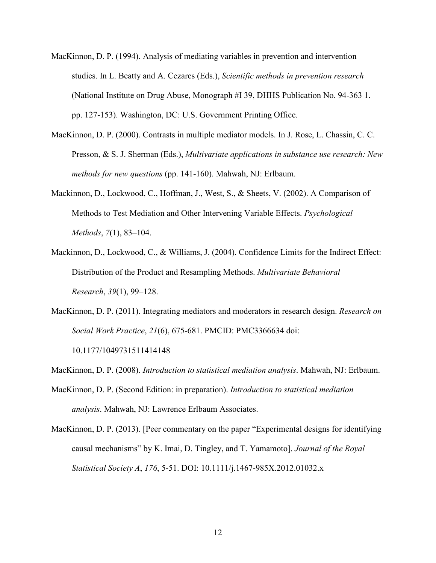- MacKinnon, D. P. (1994). Analysis of mediating variables in prevention and intervention studies. In L. Beatty and A. Cezares (Eds.), *Scientific methods in prevention research* (National Institute on Drug Abuse, Monograph #I 39, DHHS Publication No. 94-363 1. pp. 127-153). Washington, DC: U.S. Government Printing Office.
- MacKinnon, D. P. (2000). Contrasts in multiple mediator models. In J. Rose, L. Chassin, C. C. Presson, & S. J. Sherman (Eds.), *Multivariate applications in substance use research: New methods for new questions* (pp. 141-160). Mahwah, NJ: Erlbaum.
- Mackinnon, D., Lockwood, C., Hoffman, J., West, S., & Sheets, V. (2002). A Comparison of Methods to Test Mediation and Other Intervening Variable Effects. *Psychological Methods*, *7*(1), 83–104.
- Mackinnon, D., Lockwood, C., & Williams, J. (2004). Confidence Limits for the Indirect Effect: Distribution of the Product and Resampling Methods. *Multivariate Behavioral Research*, *39*(1), 99–128.
- MacKinnon, D. P. (2011). Integrating mediators and moderators in research design. *Research on Social Work Practice*, *21*(6), 675-681. PMCID: PMC3366634 doi: 10.1177/1049731511414148

MacKinnon, D. P. (2008). *Introduction to statistical mediation analysis*. Mahwah, NJ: Erlbaum.

- MacKinnon, D. P. (Second Edition: in preparation). *Introduction to statistical mediation analysis*. Mahwah, NJ: Lawrence Erlbaum Associates.
- MacKinnon, D. P. (2013). [Peer commentary on the paper "Experimental designs for identifying causal mechanisms" by K. Imai, D. Tingley, and T. Yamamoto]. *Journal of the Royal Statistical Society A*, *176*, 5-51. DOI: 10.1111/j.1467-985X.2012.01032.x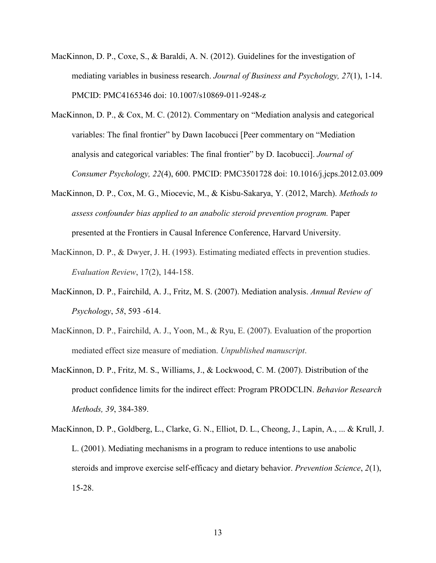- MacKinnon, D. P., Coxe, S., & Baraldi, A. N. (2012). Guidelines for the investigation of mediating variables in business research. *Journal of Business and Psychology, 27*(1), 1-14. PMCID: PMC4165346 doi: 10.1007/s10869-011-9248-z
- MacKinnon, D. P., & Cox, M. C. (2012). Commentary on "Mediation analysis and categorical variables: The final frontier" by Dawn Iacobucci [Peer commentary on "Mediation analysis and categorical variables: The final frontier" by D. Iacobucci]. *Journal of Consumer Psychology, 22*(4), 600. PMCID: PMC3501728 doi: 10.1016/j.jcps.2012.03.009
- MacKinnon, D. P., Cox, M. G., Miocevic, M., & Kisbu-Sakarya, Y. (2012, March). *Methods to assess confounder bias applied to an anabolic steroid prevention program.* Paper presented at the Frontiers in Causal Inference Conference, Harvard University.
- MacKinnon, D. P., & Dwyer, J. H. (1993). Estimating mediated effects in prevention studies. *Evaluation Review*, 17(2), 144-158.
- MacKinnon, D. P., Fairchild, A. J., Fritz, M. S. (2007). Mediation analysis. *Annual Review of Psychology*, *58*, 593 -614.
- MacKinnon, D. P., Fairchild, A. J., Yoon, M., & Ryu, E. (2007). Evaluation of the proportion mediated effect size measure of mediation. *Unpublished manuscript*.
- MacKinnon, D. P., Fritz, M. S., Williams, J., & Lockwood, C. M. (2007). Distribution of the product confidence limits for the indirect effect: Program PRODCLIN. *Behavior Research Methods, 39*, 384-389.
- MacKinnon, D. P., Goldberg, L., Clarke, G. N., Elliot, D. L., Cheong, J., Lapin, A., ... & Krull, J. L. (2001). Mediating mechanisms in a program to reduce intentions to use anabolic steroids and improve exercise self-efficacy and dietary behavior. *Prevention Science*, *2*(1), 15-28.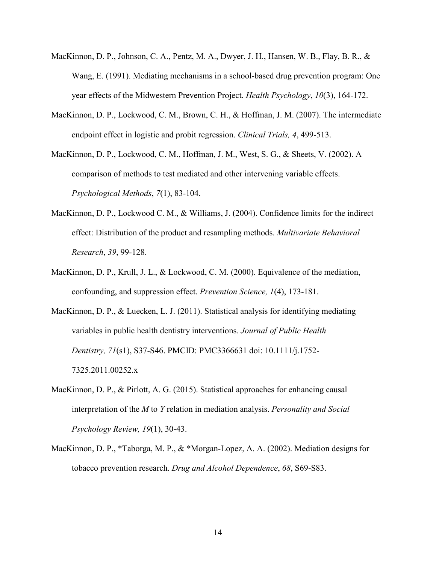- MacKinnon, D. P., Johnson, C. A., Pentz, M. A., Dwyer, J. H., Hansen, W. B., Flay, B. R., & Wang, E. (1991). Mediating mechanisms in a school-based drug prevention program: One year effects of the Midwestern Prevention Project. *Health Psychology*, *10*(3), 164-172.
- MacKinnon, D. P., Lockwood, C. M., Brown, C. H., & Hoffman, J. M. (2007). The intermediate endpoint effect in logistic and probit regression. *Clinical Trials, 4*, 499-513.
- MacKinnon, D. P., Lockwood, C. M., Hoffman, J. M., West, S. G., & Sheets, V. (2002). A comparison of methods to test mediated and other intervening variable effects. *Psychological Methods*, *7*(1), 83-104.
- MacKinnon, D. P., Lockwood C. M., & Williams, J. (2004). Confidence limits for the indirect effect: Distribution of the product and resampling methods. *Multivariate Behavioral Research*, *39*, 99-128.
- MacKinnon, D. P., Krull, J. L., & Lockwood, C. M. (2000). Equivalence of the mediation, confounding, and suppression effect. *Prevention Science, 1*(4), 173-181.
- MacKinnon, D. P., & Luecken, L. J. (2011). Statistical analysis for identifying mediating variables in public health dentistry interventions. *Journal of Public Health Dentistry, 71*(s1), S37-S46. PMCID: PMC3366631 doi: 10.1111/j.1752- 7325.2011.00252.x
- MacKinnon, D. P., & Pirlott, A. G. (2015). Statistical approaches for enhancing causal interpretation of the *M* to *Y* relation in mediation analysis. *Personality and Social Psychology Review, 19*(1), 30-43.
- MacKinnon, D. P., \*Taborga, M. P., & \*Morgan-Lopez, A. A. (2002). Mediation designs for tobacco prevention research. *Drug and Alcohol Dependence*, *68*, S69-S83.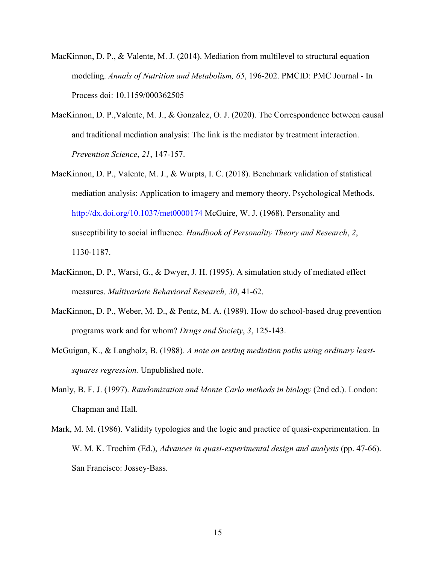- MacKinnon, D. P., & Valente, M. J. (2014). Mediation from multilevel to structural equation modeling. *Annals of Nutrition and Metabolism, 65*, 196-202. PMCID: PMC Journal - In Process doi: 10.1159/000362505
- MacKinnon, D. P.,Valente, M. J., & Gonzalez, O. J. (2020). The Correspondence between causal and traditional mediation analysis: The link is the mediator by treatment interaction. *Prevention Science*, *21*, 147-157.
- MacKinnon, D. P., Valente, M. J., & Wurpts, I. C. (2018). Benchmark validation of statistical mediation analysis: Application to imagery and memory theory. Psychological Methods. <http://dx.doi.org/10.1037/met0000174> McGuire, W. J. (1968). Personality and susceptibility to social influence. *Handbook of Personality Theory and Research*, *2*, 1130-1187.
- MacKinnon, D. P., Warsi, G., & Dwyer, J. H. (1995). A simulation study of mediated effect measures. *Multivariate Behavioral Research, 30*, 41-62.
- MacKinnon, D. P., Weber, M. D., & Pentz, M. A. (1989). How do school-based drug prevention programs work and for whom? *Drugs and Society*, *3*, 125-143.
- McGuigan, K., & Langholz, B. (1988)*. A note on testing mediation paths using ordinary leastsquares regression.* Unpublished note.
- Manly, B. F. J. (1997). *Randomization and Monte Carlo methods in biology* (2nd ed.). London: Chapman and Hall.
- Mark, M. M. (1986). Validity typologies and the logic and practice of quasi-experimentation. In W. M. K. Trochim (Ed.), *Advances in quasi-experimental design and analysis* (pp. 47-66). San Francisco: Jossey-Bass.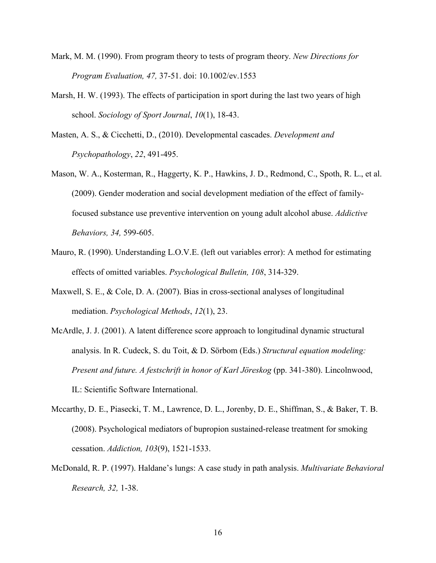- Mark, M. M. (1990). From program theory to tests of program theory. *New Directions for Program Evaluation, 47,* 37-51. doi: 10.1002/ev.1553
- Marsh, H. W. (1993). The effects of participation in sport during the last two years of high school. *Sociology of Sport Journal*, *10*(1), 18-43.
- Masten, A. S., & Cicchetti, D., (2010). Developmental cascades. *Development and Psychopathology*, *22*, 491-495.
- Mason, W. A., Kosterman, R., Haggerty, K. P., Hawkins, J. D., Redmond, C., Spoth, R. L., et al. (2009). Gender moderation and social development mediation of the effect of familyfocused substance use preventive intervention on young adult alcohol abuse. *Addictive Behaviors, 34,* 599-605.
- Mauro, R. (1990). Understanding L.O.V.E. (left out variables error): A method for estimating effects of omitted variables. *Psychological Bulletin, 108*, 314-329.
- Maxwell, S. E., & Cole, D. A. (2007). Bias in cross-sectional analyses of longitudinal mediation. *Psychological Methods*, *12*(1), 23.
- McArdle, J. J. (2001). A latent difference score approach to longitudinal dynamic structural analysis. In R. Cudeck, S. du Toit, & D. Sörbom (Eds.) *Structural equation modeling: Present and future. A festschrift in honor of Karl Jöreskog (pp. 341-380). Lincolnwood,* IL: Scientific Software International.
- Mccarthy, D. E., Piasecki, T. M., Lawrence, D. L., Jorenby, D. E., Shiffman, S., & Baker, T. B. (2008). Psychological mediators of bupropion sustained-release treatment for smoking cessation. *Addiction, 103*(9), 1521-1533.
- McDonald, R. P. (1997). Haldane's lungs: A case study in path analysis. *Multivariate Behavioral Research, 32,* 1-38.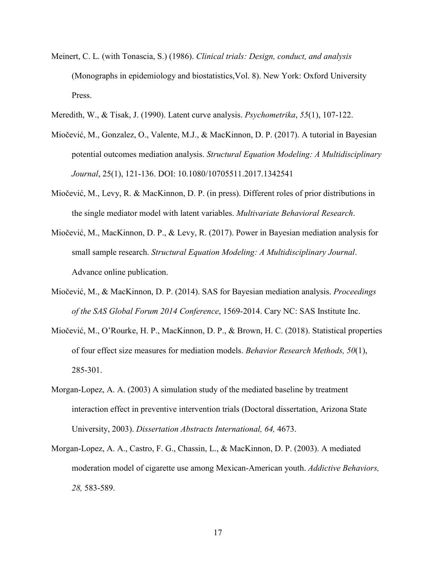- Meinert, C. L. (with Tonascia, S.) (1986). *Clinical trials: Design, conduct, and analysis* (Monographs in epidemiology and biostatistics,Vol. 8). New York: Oxford University Press.
- Meredith, W., & Tisak, J. (1990). Latent curve analysis. *Psychometrika*, *55*(1), 107-122.
- Miočević, M., Gonzalez, O., Valente, M.J., & MacKinnon, D. P. (2017). A tutorial in Bayesian potential outcomes mediation analysis. *Structural Equation Modeling: A Multidisciplinary Journal*, 25(1), 121-136. DOI: 10.1080/10705511.2017.1342541
- Miočević, M., Levy, R. & MacKinnon, D. P. (in press). Different roles of prior distributions in the single mediator model with latent variables. *Multivariate Behavioral Research*.
- Miočević, M., MacKinnon, D. P., & Levy, R. (2017). Power in Bayesian mediation analysis for small sample research. *Structural Equation Modeling: A Multidisciplinary Journal*. Advance online publication.
- Miočević, M., & MacKinnon, D. P. (2014). SAS for Bayesian mediation analysis. *Proceedings of the SAS Global Forum 2014 Conference*, 1569-2014. Cary NC: SAS Institute Inc.
- Miočević, M., O'Rourke, H. P., MacKinnon, D. P., & Brown, H. C. (2018). Statistical properties of four effect size measures for mediation models. *Behavior Research Methods, 50*(1), 285-301.
- Morgan-Lopez, A. A. (2003) A simulation study of the mediated baseline by treatment interaction effect in preventive intervention trials (Doctoral dissertation, Arizona State University, 2003). *Dissertation Abstracts International, 64,* 4673.
- Morgan-Lopez, A. A., Castro, F. G., Chassin, L., & MacKinnon, D. P. (2003). A mediated moderation model of cigarette use among Mexican-American youth. *Addictive Behaviors, 28,* 583-589.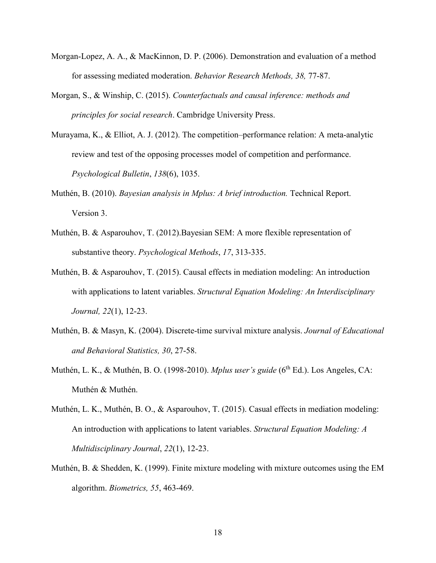- Morgan-Lopez, A. A., & MacKinnon, D. P. (2006). Demonstration and evaluation of a method for assessing mediated moderation. *Behavior Research Methods, 38,* 77-87.
- Morgan, S., & Winship, C. (2015). *Counterfactuals and causal inference: methods and principles for social research*. Cambridge University Press.
- Murayama, K., & Elliot, A. J. (2012). The competition–performance relation: A meta-analytic review and test of the opposing processes model of competition and performance. *Psychological Bulletin*, *138*(6), 1035.
- Muthén, B. (2010). *Bayesian analysis in Mplus: A brief introduction.* Technical Report. Version 3.
- Muthén, B. & Asparouhov, T. (2012).Bayesian SEM: A more flexible representation of substantive theory. *Psychological Methods*, *17*, 313-335.
- Muthén, B. & Asparouhov, T. (2015). Causal effects in mediation modeling: An introduction with applications to latent variables. *Structural Equation Modeling: An Interdisciplinary Journal, 22*(1), 12-23.
- Muthén, B. & Masyn, K. (2004). Discrete-time survival mixture analysis. *Journal of Educational and Behavioral Statistics, 30*, 27-58.
- Muthén, L. K., & Muthén, B. O. (1998-2010). *Mplus user's guide* (6<sup>th</sup> Ed.). Los Angeles. CA: Muthén & Muthén.
- Muthén, L. K., Muthén, B. O., & Asparouhov, T. (2015). Casual effects in mediation modeling: An introduction with applications to latent variables. *Structural Equation Modeling: A Multidisciplinary Journal*, *22*(1), 12-23.
- Muthén, B. & Shedden, K. (1999). Finite mixture modeling with mixture outcomes using the EM algorithm. *Biometrics, 55*, 463-469.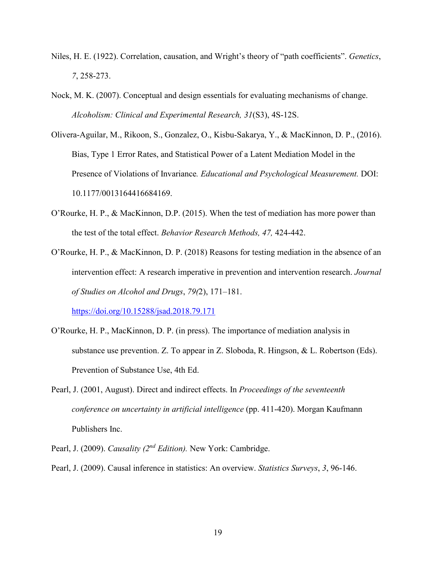- Niles, H. E. (1922). Correlation, causation, and Wright's theory of "path coefficients". *Genetics*, *7*, 258-273.
- Nock, M. K. (2007). Conceptual and design essentials for evaluating mechanisms of change. *Alcoholism: Clinical and Experimental Research, 31*(S3), 4S-12S.
- Olivera-Aguilar, M., Rikoon, S., Gonzalez, O., Kisbu-Sakarya, Y., & MacKinnon, D. P., (2016). Bias, Type 1 Error Rates, and Statistical Power of a Latent Mediation Model in the Presence of Violations of Invariance*. Educational and Psychological Measurement.* DOI: 10.1177/0013164416684169.
- O'Rourke, H. P., & MacKinnon, D.P. (2015). When the test of mediation has more power than the test of the total effect. *Behavior Research Methods, 47,* 424-442.
- O'Rourke, H. P., & MacKinnon, D. P. (2018) Reasons for testing mediation in the absence of an intervention effect: A research imperative in prevention and intervention research. *Journal of Studies on Alcohol and Drugs*, *79(*2), 171–181.

<https://doi.org/10.15288/jsad.2018.79.171>

- O'Rourke, H. P., MacKinnon, D. P. (in press). The importance of mediation analysis in substance use prevention. Z. To appear in Z. Sloboda, R. Hingson, & L. Robertson (Eds). Prevention of Substance Use, 4th Ed.
- Pearl, J. (2001, August). Direct and indirect effects. In *Proceedings of the seventeenth conference on uncertainty in artificial intelligence* (pp. 411-420). Morgan Kaufmann Publishers Inc.
- Pearl, J. (2009). *Causality (2nd Edition).* New York: Cambridge.
- Pearl, J. (2009). Causal inference in statistics: An overview. *Statistics Surveys*, *3*, 96-146.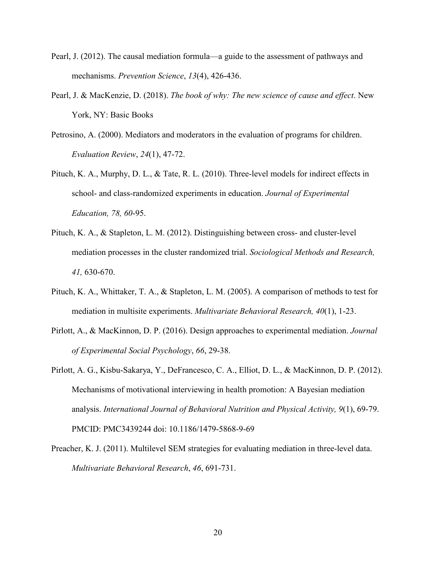- Pearl, J. (2012). The causal mediation formula—a guide to the assessment of pathways and mechanisms. *Prevention Science*, *13*(4), 426-436.
- Pearl, J. & MacKenzie, D. (2018). *The book of why: The new science of cause and effect*. New York, NY: Basic Books
- Petrosino, A. (2000). Mediators and moderators in the evaluation of programs for children. *Evaluation Review*, *24*(1), 47-72.
- Pituch, K. A., Murphy, D. L., & Tate, R. L. (2010). Three-level models for indirect effects in school- and class-randomized experiments in education. *Journal of Experimental Education, 78, 60*-95.
- Pituch, K. A., & Stapleton, L. M. (2012). Distinguishing between cross- and cluster-level mediation processes in the cluster randomized trial. *Sociological Methods and Research, 41,* 630-670.
- Pituch, K. A., Whittaker, T. A., & Stapleton, L. M. (2005). A comparison of methods to test for mediation in multisite experiments. *Multivariate Behavioral Research, 40*(1), 1-23.
- Pirlott, A., & MacKinnon, D. P. (2016). Design approaches to experimental mediation. *Journal of Experimental Social Psychology*, *66*, 29-38.
- Pirlott, A. G., Kisbu-Sakarya, Y., DeFrancesco, C. A., Elliot, D. L., & MacKinnon, D. P. (2012). Mechanisms of motivational interviewing in health promotion: A Bayesian mediation analysis. *International Journal of Behavioral Nutrition and Physical Activity, 9*(1), 69-79. PMCID: PMC3439244 doi: 10.1186/1479-5868-9-69
- Preacher, K. J. (2011). Multilevel SEM strategies for evaluating mediation in three-level data. *Multivariate Behavioral Research*, *46*, 691-731.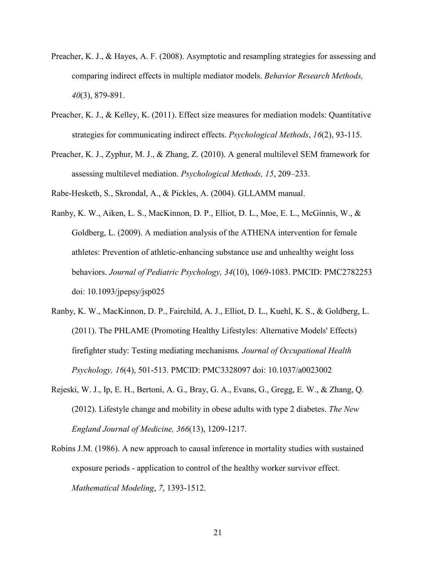- Preacher, K. J., & Hayes, A. F. (2008). Asymptotic and resampling strategies for assessing and comparing indirect effects in multiple mediator models. *Behavior Research Methods, 40*(3), 879-891.
- Preacher, K. J., & Kelley, K. (2011). Effect size measures for mediation models: Quantitative strategies for communicating indirect effects. *Psychological Methods*, *16*(2), 93-115.
- Preacher, K. J., Zyphur, M. J., & Zhang, Z. (2010). A general multilevel SEM framework for assessing multilevel mediation. *Psychological Methods, 15*, 209–233.

Rabe-Hesketh, S., Skrondal, A., & Pickles, A. (2004). GLLAMM manual.

- Ranby, K. W., Aiken, L. S., MacKinnon, D. P., Elliot, D. L., Moe, E. L., McGinnis, W., & Goldberg, L. (2009). A mediation analysis of the ATHENA intervention for female athletes: Prevention of athletic-enhancing substance use and unhealthy weight loss behaviors. *Journal of Pediatric Psychology, 34*(10), 1069-1083. PMCID: PMC2782253 doi: 10.1093/jpepsy/jsp025
- Ranby, K. W., MacKinnon, D. P., Fairchild, A. J., Elliot, D. L., Kuehl, K. S., & Goldberg, L. (2011). The PHLAME (Promoting Healthy Lifestyles: Alternative Models' Effects) firefighter study: Testing mediating mechanisms*. Journal of Occupational Health Psychology, 16*(4), 501-513. PMCID: PMC3328097 doi: 10.1037/a0023002
- Rejeski, W. J., Ip, E. H., Bertoni, A. G., Bray, G. A., Evans, G., Gregg, E. W., & Zhang, Q. (2012). Lifestyle change and mobility in obese adults with type 2 diabetes. *The New England Journal of Medicine, 366*(13), 1209-1217.
- Robins J.M. (1986). A new approach to causal inference in mortality studies with sustained exposure periods - application to control of the healthy worker survivor effect. *Mathematical Modeling*, *7*, 1393-1512.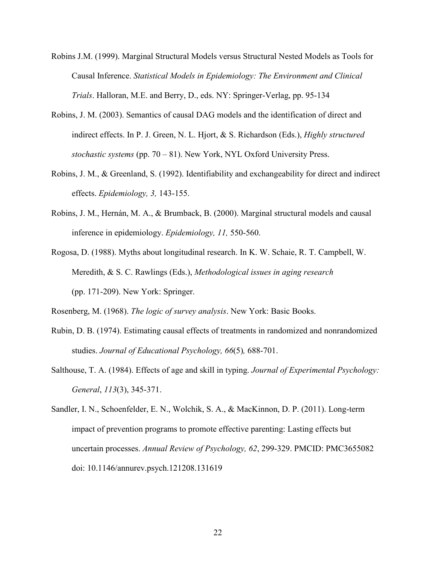- Robins J.M. (1999). Marginal Structural Models versus Structural Nested Models as Tools for Causal Inference. *Statistical Models in Epidemiology: The Environment and Clinical Trials*. Halloran, M.E. and Berry, D., eds. NY: Springer-Verlag, pp. 95-134
- Robins, J. M. (2003). Semantics of causal DAG models and the identification of direct and indirect effects. In P. J. Green, N. L. Hjort, & S. Richardson (Eds.), *Highly structured stochastic systems* (pp. 70 – 81). New York, NYL Oxford University Press.
- Robins, J. M., & Greenland, S. (1992). Identifiability and exchangeability for direct and indirect effects. *Epidemiology, 3,* 143-155.
- Robins, J. M., Hernán, M. A., & Brumback, B. (2000). Marginal structural models and causal inference in epidemiology. *Epidemiology, 11,* 550-560.
- Rogosa, D. (1988). Myths about longitudinal research. In K. W. Schaie, R. T. Campbell, W. Meredith, & S. C. Rawlings (Eds.), *Methodological issues in aging research* (pp. 171-209). New York: Springer.

Rosenberg, M. (1968). *The logic of survey analysis*. New York: Basic Books.

- Rubin, D. B. (1974). Estimating causal effects of treatments in randomized and nonrandomized studies. *Journal of Educational Psychology, 66*(5)*,* 688-701.
- Salthouse, T. A. (1984). Effects of age and skill in typing. *Journal of Experimental Psychology: General*, *113*(3), 345-371.
- Sandler, I. N., Schoenfelder, E. N., Wolchik, S. A., & MacKinnon, D. P. (2011). Long-term impact of prevention programs to promote effective parenting: Lasting effects but uncertain processes. *Annual Review of Psychology, 62*, 299-329. PMCID: PMC3655082 doi: 10.1146/annurev.psych.121208.131619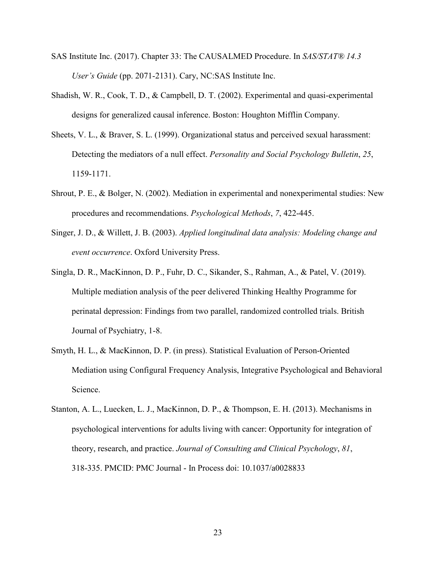- SAS Institute Inc. (2017). Chapter 33: The CAUSALMED Procedure. In *SAS/STAT® 14.3 User's Guide* (pp. 2071-2131). Cary, NC:SAS Institute Inc.
- Shadish, W. R., Cook, T. D., & Campbell, D. T. (2002). Experimental and quasi-experimental designs for generalized causal inference. Boston: Houghton Mifflin Company.
- Sheets, V. L., & Braver, S. L. (1999). Organizational status and perceived sexual harassment: Detecting the mediators of a null effect. *Personality and Social Psychology Bulletin*, *25*, 1159-1171.
- Shrout, P. E., & Bolger, N. (2002). Mediation in experimental and nonexperimental studies: New procedures and recommendations. *Psychological Methods*, *7*, 422-445.
- Singer, J. D., & Willett, J. B. (2003). *Applied longitudinal data analysis: Modeling change and event occurrence*. Oxford University Press.
- Singla, D. R., MacKinnon, D. P., Fuhr, D. C., Sikander, S., Rahman, A., & Patel, V. (2019). Multiple mediation analysis of the peer delivered Thinking Healthy Programme for perinatal depression: Findings from two parallel, randomized controlled trials. British Journal of Psychiatry, 1-8.
- Smyth, H. L., & MacKinnon, D. P. (in press). Statistical Evaluation of Person-Oriented Mediation using Configural Frequency Analysis, Integrative Psychological and Behavioral Science.
- Stanton, A. L., Luecken, L. J., MacKinnon, D. P., & Thompson, E. H. (2013). Mechanisms in psychological interventions for adults living with cancer: Opportunity for integration of theory, research, and practice. *Journal of Consulting and Clinical Psychology*, *81*, 318-335. PMCID: PMC Journal - In Process doi: 10.1037/a0028833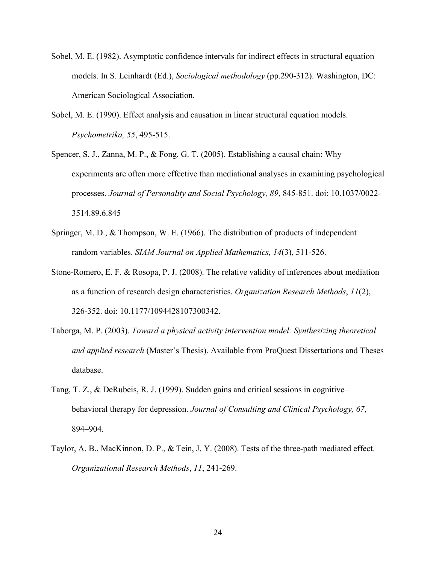- Sobel, M. E. (1982). Asymptotic confidence intervals for indirect effects in structural equation models. In S. Leinhardt (Ed.), *Sociological methodology* (pp.290-312). Washington, DC: American Sociological Association.
- Sobel, M. E. (1990). Effect analysis and causation in linear structural equation models. *Psychometrika, 55*, 495-515.
- Spencer, S. J., Zanna, M. P., & Fong, G. T. (2005). Establishing a causal chain: Why experiments are often more effective than mediational analyses in examining psychological processes. *Journal of Personality and Social Psychology, 89*, 845-851. doi: 10.1037/0022- 3514.89.6.845
- Springer, M. D., & Thompson, W. E. (1966). The distribution of products of independent random variables. *SIAM Journal on Applied Mathematics, 14*(3), 511-526.
- Stone-Romero, E. F. & Rosopa, P. J. (2008). The relative validity of inferences about mediation as a function of research design characteristics. *Organization Research Methods*, *11*(2), 326-352. doi: 10.1177/1094428107300342.
- Taborga, M. P. (2003). *Toward a physical activity intervention model: Synthesizing theoretical and applied research* (Master's Thesis). Available from ProQuest Dissertations and Theses database.
- Tang, T. Z., & DeRubeis, R. J. (1999). Sudden gains and critical sessions in cognitive– behavioral therapy for depression. *Journal of Consulting and Clinical Psychology, 67*, 894–904.
- Taylor, A. B., MacKinnon, D. P., & Tein, J. Y. (2008). Tests of the three-path mediated effect. *Organizational Research Methods*, *11*, 241-269.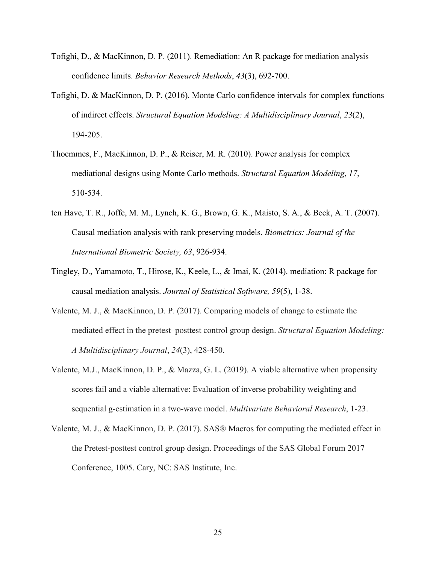- Tofighi, D., & MacKinnon, D. P. (2011). Remediation: An R package for mediation analysis confidence limits. *Behavior Research Methods*, *43*(3), 692-700.
- Tofighi, D. & MacKinnon, D. P. (2016). Monte Carlo confidence intervals for complex functions of indirect effects. *Structural Equation Modeling: A Multidisciplinary Journal*, *23*(2), 194-205.
- Thoemmes, F., MacKinnon, D. P., & Reiser, M. R. (2010). Power analysis for complex mediational designs using Monte Carlo methods. *Structural Equation Modeling*, *17*, 510-534.
- ten Have, T. R., Joffe, M. M., Lynch, K. G., Brown, G. K., Maisto, S. A., & Beck, A. T. (2007). Causal mediation analysis with rank preserving models. *Biometrics: Journal of the International Biometric Society, 63*, 926-934.
- Tingley, D., Yamamoto, T., Hirose, K., Keele, L., & Imai, K. (2014). mediation: R package for causal mediation analysis. *Journal of Statistical Software, 59*(5), 1-38.
- Valente, M. J., & MacKinnon, D. P. (2017). Comparing models of change to estimate the mediated effect in the pretest–posttest control group design. *Structural Equation Modeling: A Multidisciplinary Journal*, *24*(3), 428-450.
- Valente, M.J., MacKinnon, D. P., & Mazza, G. L. (2019). A viable alternative when propensity scores fail and a viable alternative: Evaluation of inverse probability weighting and sequential g-estimation in a two-wave model. *Multivariate Behavioral Research*, 1-23.
- Valente, M. J., & MacKinnon, D. P. (2017). SAS® Macros for computing the mediated effect in the Pretest-posttest control group design. Proceedings of the SAS Global Forum 2017 Conference, 1005. Cary, NC: SAS Institute, Inc.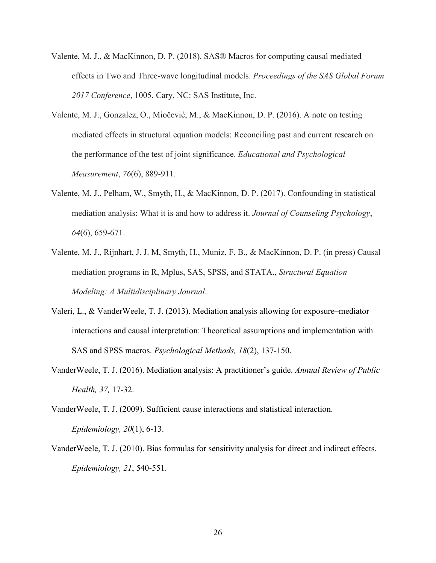- Valente, M. J., & MacKinnon, D. P. (2018). SAS® Macros for computing causal mediated effects in Two and Three-wave longitudinal models. *Proceedings of the SAS Global Forum 2017 Conference*, 1005. Cary, NC: SAS Institute, Inc.
- Valente, M. J., Gonzalez, O., Miočević, M., & MacKinnon, D. P. (2016). A note on testing mediated effects in structural equation models: Reconciling past and current research on the performance of the test of joint significance. *Educational and Psychological Measurement*, *76*(6), 889-911.
- Valente, M. J., Pelham, W., Smyth, H., & MacKinnon, D. P. (2017). Confounding in statistical mediation analysis: What it is and how to address it. *Journal of Counseling Psychology*, *64*(6), 659-671.
- Valente, M. J., Rijnhart, J. J. M, Smyth, H., Muniz, F. B., & MacKinnon, D. P. (in press) Causal mediation programs in R, Mplus, SAS, SPSS, and STATA., *Structural Equation Modeling: A Multidisciplinary Journal*.
- Valeri, L., & VanderWeele, T. J. (2013). Mediation analysis allowing for exposure–mediator interactions and causal interpretation: Theoretical assumptions and implementation with SAS and SPSS macros. *Psychological Methods, 18*(2), 137-150.
- VanderWeele, T. J. (2016). Mediation analysis: A practitioner's guide. *Annual Review of Public Health, 37,* 17-32.
- VanderWeele, T. J. (2009). Sufficient cause interactions and statistical interaction. *Epidemiology, 20*(1), 6-13.
- VanderWeele, T. J. (2010). Bias formulas for sensitivity analysis for direct and indirect effects. *Epidemiology, 21*, 540-551.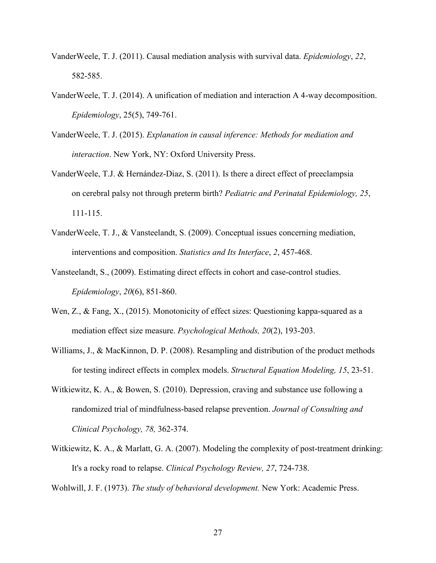- VanderWeele, T. J. (2011). Causal mediation analysis with survival data. *Epidemiology*, *22*, 582-585.
- VanderWeele, T. J. (2014). A unification of mediation and interaction A 4-way decomposition. *Epidemiology*, 25(5), 749-761.
- VanderWeele, T. J. (2015). *Explanation in causal inference: Methods for mediation and interaction*. New York, NY: Oxford University Press.
- VanderWeele, T.J. & Hernández-Diaz, S. (2011). Is there a direct effect of preeclampsia on cerebral palsy not through preterm birth? *Pediatric and Perinatal Epidemiology, 25*, 111-115.
- VanderWeele, T. J., & Vansteelandt, S. (2009). Conceptual issues concerning mediation, interventions and composition. *Statistics and Its Interface*, *2*, 457-468.
- Vansteelandt, S., (2009). Estimating direct effects in cohort and case-control studies. *Epidemiology*, *20*(6), 851-860.
- Wen, Z., & Fang, X., (2015). Monotonicity of effect sizes: Questioning kappa-squared as a mediation effect size measure. *Psychological Methods, 20*(2), 193-203.
- Williams, J., & MacKinnon, D. P. (2008). Resampling and distribution of the product methods for testing indirect effects in complex models. *Structural Equation Modeling, 15*, 23-51.
- Witkiewitz, K. A., & Bowen, S. (2010). Depression, craving and substance use following a randomized trial of mindfulness-based relapse prevention. *Journal of Consulting and Clinical Psychology, 78,* 362-374.
- Witkiewitz, K. A., & Marlatt, G. A. (2007). Modeling the complexity of post-treatment drinking: It's a rocky road to relapse. *Clinical Psychology Review, 27*, 724-738.

Wohlwill, J. F. (1973). *The study of behavioral development.* New York: Academic Press.